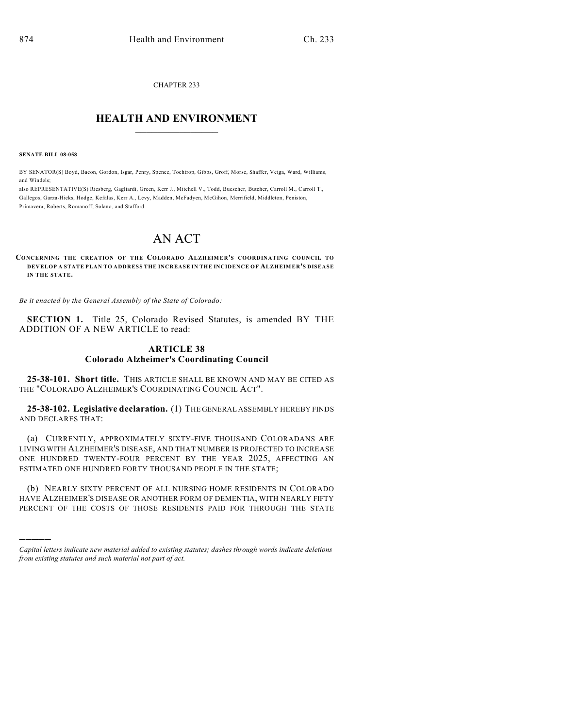CHAPTER 233

## $\mathcal{L}_\text{max}$  . The set of the set of the set of the set of the set of the set of the set of the set of the set of the set of the set of the set of the set of the set of the set of the set of the set of the set of the set **HEALTH AND ENVIRONMENT**  $\_$

**SENATE BILL 08-058**

)))))

BY SENATOR(S) Boyd, Bacon, Gordon, Isgar, Penry, Spence, Tochtrop, Gibbs, Groff, Morse, Shaffer, Veiga, Ward, Williams, and Windels;

also REPRESENTATIVE(S) Riesberg, Gagliardi, Green, Kerr J., Mitchell V., Todd, Buescher, Butcher, Carroll M., Carroll T., Gallegos, Garza-Hicks, Hodge, Kefalas, Kerr A., Levy, Madden, McFadyen, McGihon, Merrifield, Middleton, Peniston, Primavera, Roberts, Romanoff, Solano, and Stafford.

# AN ACT

**CONCERNING THE CREATION OF THE COLORADO ALZHEIMER'S COORDINATING COUNCIL TO DEVELOP A STATE PLAN TO ADDRESS THE INCREASE IN THE INCIDENCE OF ALZHEIMER'S DISEASE IN THE STATE.**

*Be it enacted by the General Assembly of the State of Colorado:*

**SECTION 1.** Title 25, Colorado Revised Statutes, is amended BY THE ADDITION OF A NEW ARTICLE to read:

### **ARTICLE 38 Colorado Alzheimer's Coordinating Council**

**25-38-101. Short title.** THIS ARTICLE SHALL BE KNOWN AND MAY BE CITED AS THE "COLORADO ALZHEIMER'S COORDINATING COUNCIL ACT".

**25-38-102. Legislative declaration.** (1) THE GENERAL ASSEMBLY HEREBY FINDS AND DECLARES THAT:

(a) CURRENTLY, APPROXIMATELY SIXTY-FIVE THOUSAND COLORADANS ARE LIVING WITH ALZHEIMER'S DISEASE, AND THAT NUMBER IS PROJECTED TO INCREASE ONE HUNDRED TWENTY-FOUR PERCENT BY THE YEAR 2025, AFFECTING AN ESTIMATED ONE HUNDRED FORTY THOUSAND PEOPLE IN THE STATE;

(b) NEARLY SIXTY PERCENT OF ALL NURSING HOME RESIDENTS IN COLORADO HAVE ALZHEIMER'S DISEASE OR ANOTHER FORM OF DEMENTIA, WITH NEARLY FIFTY PERCENT OF THE COSTS OF THOSE RESIDENTS PAID FOR THROUGH THE STATE

*Capital letters indicate new material added to existing statutes; dashes through words indicate deletions from existing statutes and such material not part of act.*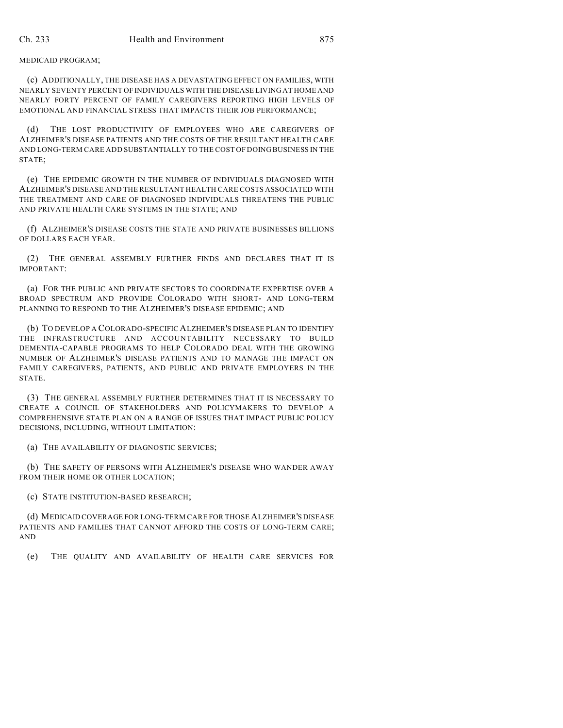MEDICAID PROGRAM;

(c) ADDITIONALLY, THE DISEASE HAS A DEVASTATING EFFECT ON FAMILIES, WITH NEARLY SEVENTY PERCENT OF INDIVIDUALS WITH THE DISEASE LIVING AT HOME AND NEARLY FORTY PERCENT OF FAMILY CAREGIVERS REPORTING HIGH LEVELS OF EMOTIONAL AND FINANCIAL STRESS THAT IMPACTS THEIR JOB PERFORMANCE;

(d) THE LOST PRODUCTIVITY OF EMPLOYEES WHO ARE CAREGIVERS OF ALZHEIMER'S DISEASE PATIENTS AND THE COSTS OF THE RESULTANT HEALTH CARE AND LONG-TERM CARE ADD SUBSTANTIALLY TO THE COST OF DOING BUSINESS IN THE STATE;

(e) THE EPIDEMIC GROWTH IN THE NUMBER OF INDIVIDUALS DIAGNOSED WITH ALZHEIMER'S DISEASE AND THE RESULTANT HEALTH CARE COSTS ASSOCIATED WITH THE TREATMENT AND CARE OF DIAGNOSED INDIVIDUALS THREATENS THE PUBLIC AND PRIVATE HEALTH CARE SYSTEMS IN THE STATE; AND

(f) ALZHEIMER'S DISEASE COSTS THE STATE AND PRIVATE BUSINESSES BILLIONS OF DOLLARS EACH YEAR.

(2) THE GENERAL ASSEMBLY FURTHER FINDS AND DECLARES THAT IT IS IMPORTANT:

(a) FOR THE PUBLIC AND PRIVATE SECTORS TO COORDINATE EXPERTISE OVER A BROAD SPECTRUM AND PROVIDE COLORADO WITH SHORT- AND LONG-TERM PLANNING TO RESPOND TO THE ALZHEIMER'S DISEASE EPIDEMIC; AND

(b) TO DEVELOP A COLORADO-SPECIFIC ALZHEIMER'S DISEASE PLAN TO IDENTIFY THE INFRASTRUCTURE AND ACCOUNTABILITY NECESSARY TO BUILD DEMENTIA-CAPABLE PROGRAMS TO HELP COLORADO DEAL WITH THE GROWING NUMBER OF ALZHEIMER'S DISEASE PATIENTS AND TO MANAGE THE IMPACT ON FAMILY CAREGIVERS, PATIENTS, AND PUBLIC AND PRIVATE EMPLOYERS IN THE STATE.

(3) THE GENERAL ASSEMBLY FURTHER DETERMINES THAT IT IS NECESSARY TO CREATE A COUNCIL OF STAKEHOLDERS AND POLICYMAKERS TO DEVELOP A COMPREHENSIVE STATE PLAN ON A RANGE OF ISSUES THAT IMPACT PUBLIC POLICY DECISIONS, INCLUDING, WITHOUT LIMITATION:

(a) THE AVAILABILITY OF DIAGNOSTIC SERVICES;

(b) THE SAFETY OF PERSONS WITH ALZHEIMER'S DISEASE WHO WANDER AWAY FROM THEIR HOME OR OTHER LOCATION;

(c) STATE INSTITUTION-BASED RESEARCH;

(d) MEDICAID COVERAGE FOR LONG-TERM CARE FOR THOSE ALZHEIMER'S DISEASE PATIENTS AND FAMILIES THAT CANNOT AFFORD THE COSTS OF LONG-TERM CARE; AND

(e) THE QUALITY AND AVAILABILITY OF HEALTH CARE SERVICES FOR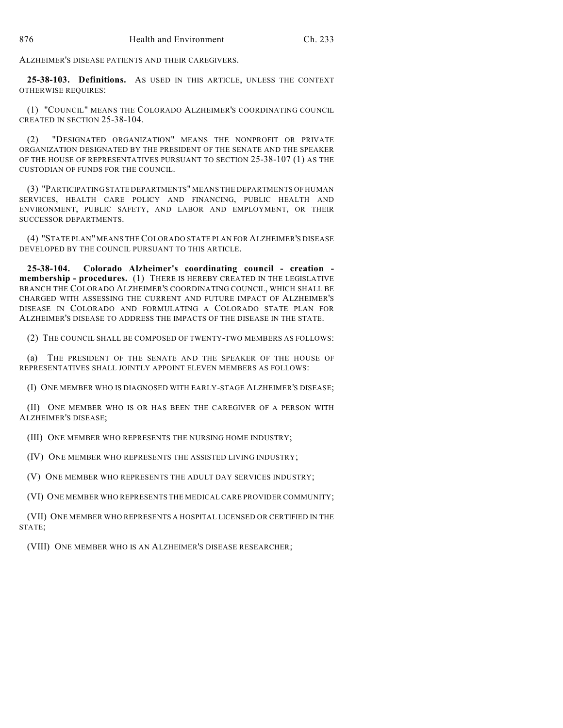ALZHEIMER'S DISEASE PATIENTS AND THEIR CAREGIVERS.

**25-38-103. Definitions.** AS USED IN THIS ARTICLE, UNLESS THE CONTEXT OTHERWISE REQUIRES:

(1) "COUNCIL" MEANS THE COLORADO ALZHEIMER'S COORDINATING COUNCIL CREATED IN SECTION 25-38-104.

(2) "DESIGNATED ORGANIZATION" MEANS THE NONPROFIT OR PRIVATE ORGANIZATION DESIGNATED BY THE PRESIDENT OF THE SENATE AND THE SPEAKER OF THE HOUSE OF REPRESENTATIVES PURSUANT TO SECTION 25-38-107 (1) AS THE CUSTODIAN OF FUNDS FOR THE COUNCIL.

(3) "PARTICIPATING STATE DEPARTMENTS" MEANS THE DEPARTMENTS OF HUMAN SERVICES, HEALTH CARE POLICY AND FINANCING, PUBLIC HEALTH AND ENVIRONMENT, PUBLIC SAFETY, AND LABOR AND EMPLOYMENT, OR THEIR SUCCESSOR DEPARTMENTS.

(4) "STATE PLAN" MEANS THE COLORADO STATE PLAN FOR ALZHEIMER'S DISEASE DEVELOPED BY THE COUNCIL PURSUANT TO THIS ARTICLE.

**25-38-104. Colorado Alzheimer's coordinating council - creation membership - procedures.** (1) THERE IS HEREBY CREATED IN THE LEGISLATIVE BRANCH THE COLORADO ALZHEIMER'S COORDINATING COUNCIL, WHICH SHALL BE CHARGED WITH ASSESSING THE CURRENT AND FUTURE IMPACT OF ALZHEIMER'S DISEASE IN COLORADO AND FORMULATING A COLORADO STATE PLAN FOR ALZHEIMER'S DISEASE TO ADDRESS THE IMPACTS OF THE DISEASE IN THE STATE.

(2) THE COUNCIL SHALL BE COMPOSED OF TWENTY-TWO MEMBERS AS FOLLOWS:

(a) THE PRESIDENT OF THE SENATE AND THE SPEAKER OF THE HOUSE OF REPRESENTATIVES SHALL JOINTLY APPOINT ELEVEN MEMBERS AS FOLLOWS:

(I) ONE MEMBER WHO IS DIAGNOSED WITH EARLY-STAGE ALZHEIMER'S DISEASE;

(II) ONE MEMBER WHO IS OR HAS BEEN THE CAREGIVER OF A PERSON WITH ALZHEIMER'S DISEASE;

(III) ONE MEMBER WHO REPRESENTS THE NURSING HOME INDUSTRY;

(IV) ONE MEMBER WHO REPRESENTS THE ASSISTED LIVING INDUSTRY;

(V) ONE MEMBER WHO REPRESENTS THE ADULT DAY SERVICES INDUSTRY;

(VI) ONE MEMBER WHO REPRESENTS THE MEDICAL CARE PROVIDER COMMUNITY;

(VII) ONE MEMBER WHO REPRESENTS A HOSPITAL LICENSED OR CERTIFIED IN THE STATE;

(VIII) ONE MEMBER WHO IS AN ALZHEIMER'S DISEASE RESEARCHER;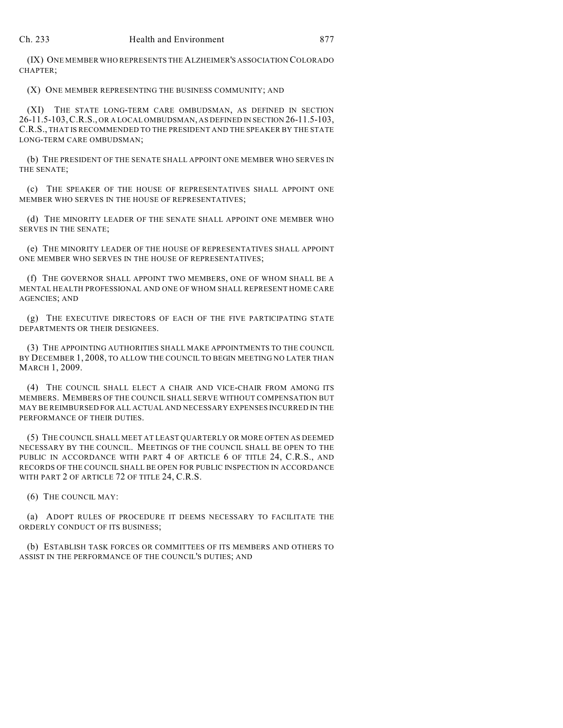(IX) ONE MEMBER WHO REPRESENTS THE ALZHEIMER'S ASSOCIATION COLORADO CHAPTER;

(X) ONE MEMBER REPRESENTING THE BUSINESS COMMUNITY; AND

(XI) THE STATE LONG-TERM CARE OMBUDSMAN, AS DEFINED IN SECTION 26-11.5-103,C.R.S., OR A LOCAL OMBUDSMAN, AS DEFINED IN SECTION 26-11.5-103, C.R.S., THAT IS RECOMMENDED TO THE PRESIDENT AND THE SPEAKER BY THE STATE LONG-TERM CARE OMBUDSMAN;

(b) THE PRESIDENT OF THE SENATE SHALL APPOINT ONE MEMBER WHO SERVES IN THE SENATE;

(c) THE SPEAKER OF THE HOUSE OF REPRESENTATIVES SHALL APPOINT ONE MEMBER WHO SERVES IN THE HOUSE OF REPRESENTATIVES;

(d) THE MINORITY LEADER OF THE SENATE SHALL APPOINT ONE MEMBER WHO SERVES IN THE SENATE;

(e) THE MINORITY LEADER OF THE HOUSE OF REPRESENTATIVES SHALL APPOINT ONE MEMBER WHO SERVES IN THE HOUSE OF REPRESENTATIVES;

(f) THE GOVERNOR SHALL APPOINT TWO MEMBERS, ONE OF WHOM SHALL BE A MENTAL HEALTH PROFESSIONAL AND ONE OF WHOM SHALL REPRESENT HOME CARE AGENCIES; AND

(g) THE EXECUTIVE DIRECTORS OF EACH OF THE FIVE PARTICIPATING STATE DEPARTMENTS OR THEIR DESIGNEES.

(3) THE APPOINTING AUTHORITIES SHALL MAKE APPOINTMENTS TO THE COUNCIL BY DECEMBER 1, 2008, TO ALLOW THE COUNCIL TO BEGIN MEETING NO LATER THAN MARCH 1, 2009.

(4) THE COUNCIL SHALL ELECT A CHAIR AND VICE-CHAIR FROM AMONG ITS MEMBERS. MEMBERS OF THE COUNCIL SHALL SERVE WITHOUT COMPENSATION BUT MAY BE REIMBURSED FOR ALL ACTUAL AND NECESSARY EXPENSES INCURRED IN THE PERFORMANCE OF THEIR DUTIES.

(5) THE COUNCIL SHALL MEET AT LEAST QUARTERLY OR MORE OFTEN AS DEEMED NECESSARY BY THE COUNCIL. MEETINGS OF THE COUNCIL SHALL BE OPEN TO THE PUBLIC IN ACCORDANCE WITH PART 4 OF ARTICLE 6 OF TITLE 24, C.R.S., AND RECORDS OF THE COUNCIL SHALL BE OPEN FOR PUBLIC INSPECTION IN ACCORDANCE WITH PART 2 OF ARTICLE 72 OF TITLE 24, C.R.S.

(6) THE COUNCIL MAY:

(a) ADOPT RULES OF PROCEDURE IT DEEMS NECESSARY TO FACILITATE THE ORDERLY CONDUCT OF ITS BUSINESS;

(b) ESTABLISH TASK FORCES OR COMMITTEES OF ITS MEMBERS AND OTHERS TO ASSIST IN THE PERFORMANCE OF THE COUNCIL'S DUTIES; AND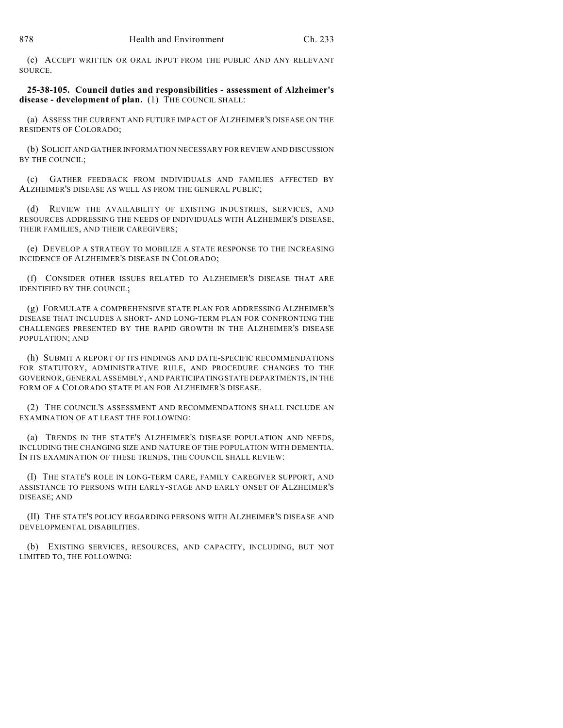(c) ACCEPT WRITTEN OR ORAL INPUT FROM THE PUBLIC AND ANY RELEVANT SOURCE.

#### **25-38-105. Council duties and responsibilities - assessment of Alzheimer's** disease - development of plan. (1) THE COUNCIL SHALL:

(a) ASSESS THE CURRENT AND FUTURE IMPACT OF ALZHEIMER'S DISEASE ON THE RESIDENTS OF COLORADO;

(b) SOLICIT AND GATHER INFORMATION NECESSARY FOR REVIEW AND DISCUSSION BY THE COUNCIL;

(c) GATHER FEEDBACK FROM INDIVIDUALS AND FAMILIES AFFECTED BY ALZHEIMER'S DISEASE AS WELL AS FROM THE GENERAL PUBLIC;

(d) REVIEW THE AVAILABILITY OF EXISTING INDUSTRIES, SERVICES, AND RESOURCES ADDRESSING THE NEEDS OF INDIVIDUALS WITH ALZHEIMER'S DISEASE, THEIR FAMILIES, AND THEIR CAREGIVERS;

(e) DEVELOP A STRATEGY TO MOBILIZE A STATE RESPONSE TO THE INCREASING INCIDENCE OF ALZHEIMER'S DISEASE IN COLORADO;

(f) CONSIDER OTHER ISSUES RELATED TO ALZHEIMER'S DISEASE THAT ARE IDENTIFIED BY THE COUNCIL;

(g) FORMULATE A COMPREHENSIVE STATE PLAN FOR ADDRESSING ALZHEIMER'S DISEASE THAT INCLUDES A SHORT- AND LONG-TERM PLAN FOR CONFRONTING THE CHALLENGES PRESENTED BY THE RAPID GROWTH IN THE ALZHEIMER'S DISEASE POPULATION; AND

(h) SUBMIT A REPORT OF ITS FINDINGS AND DATE-SPECIFIC RECOMMENDATIONS FOR STATUTORY, ADMINISTRATIVE RULE, AND PROCEDURE CHANGES TO THE GOVERNOR, GENERAL ASSEMBLY, AND PARTICIPATING STATE DEPARTMENTS, IN THE FORM OF A COLORADO STATE PLAN FOR ALZHEIMER'S DISEASE.

(2) THE COUNCIL'S ASSESSMENT AND RECOMMENDATIONS SHALL INCLUDE AN EXAMINATION OF AT LEAST THE FOLLOWING:

(a) TRENDS IN THE STATE'S ALZHEIMER'S DISEASE POPULATION AND NEEDS, INCLUDING THE CHANGING SIZE AND NATURE OF THE POPULATION WITH DEMENTIA. IN ITS EXAMINATION OF THESE TRENDS, THE COUNCIL SHALL REVIEW:

(I) THE STATE'S ROLE IN LONG-TERM CARE, FAMILY CAREGIVER SUPPORT, AND ASSISTANCE TO PERSONS WITH EARLY-STAGE AND EARLY ONSET OF ALZHEIMER'S DISEASE; AND

(II) THE STATE'S POLICY REGARDING PERSONS WITH ALZHEIMER'S DISEASE AND DEVELOPMENTAL DISABILITIES.

(b) EXISTING SERVICES, RESOURCES, AND CAPACITY, INCLUDING, BUT NOT LIMITED TO, THE FOLLOWING: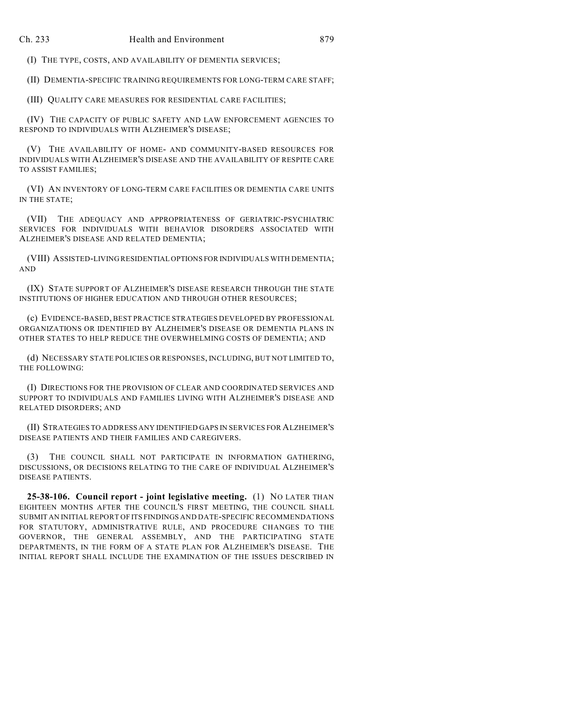(I) THE TYPE, COSTS, AND AVAILABILITY OF DEMENTIA SERVICES;

(II) DEMENTIA-SPECIFIC TRAINING REQUIREMENTS FOR LONG-TERM CARE STAFF;

(III) QUALITY CARE MEASURES FOR RESIDENTIAL CARE FACILITIES;

(IV) THE CAPACITY OF PUBLIC SAFETY AND LAW ENFORCEMENT AGENCIES TO RESPOND TO INDIVIDUALS WITH ALZHEIMER'S DISEASE;

(V) THE AVAILABILITY OF HOME- AND COMMUNITY-BASED RESOURCES FOR INDIVIDUALS WITH ALZHEIMER'S DISEASE AND THE AVAILABILITY OF RESPITE CARE TO ASSIST FAMILIES;

(VI) AN INVENTORY OF LONG-TERM CARE FACILITIES OR DEMENTIA CARE UNITS IN THE STATE;

(VII) THE ADEQUACY AND APPROPRIATENESS OF GERIATRIC-PSYCHIATRIC SERVICES FOR INDIVIDUALS WITH BEHAVIOR DISORDERS ASSOCIATED WITH ALZHEIMER'S DISEASE AND RELATED DEMENTIA;

(VIII) ASSISTED-LIVING RESIDENTIAL OPTIONS FOR INDIVIDUALS WITH DEMENTIA; AND

(IX) STATE SUPPORT OF ALZHEIMER'S DISEASE RESEARCH THROUGH THE STATE INSTITUTIONS OF HIGHER EDUCATION AND THROUGH OTHER RESOURCES;

(c) EVIDENCE-BASED, BEST PRACTICE STRATEGIES DEVELOPED BY PROFESSIONAL ORGANIZATIONS OR IDENTIFIED BY ALZHEIMER'S DISEASE OR DEMENTIA PLANS IN OTHER STATES TO HELP REDUCE THE OVERWHELMING COSTS OF DEMENTIA; AND

(d) NECESSARY STATE POLICIES OR RESPONSES, INCLUDING, BUT NOT LIMITED TO, THE FOLLOWING:

(I) DIRECTIONS FOR THE PROVISION OF CLEAR AND COORDINATED SERVICES AND SUPPORT TO INDIVIDUALS AND FAMILIES LIVING WITH ALZHEIMER'S DISEASE AND RELATED DISORDERS; AND

(II) STRATEGIES TO ADDRESS ANY IDENTIFIED GAPS IN SERVICES FOR ALZHEIMER'S DISEASE PATIENTS AND THEIR FAMILIES AND CAREGIVERS.

(3) THE COUNCIL SHALL NOT PARTICIPATE IN INFORMATION GATHERING, DISCUSSIONS, OR DECISIONS RELATING TO THE CARE OF INDIVIDUAL ALZHEIMER'S DISEASE PATIENTS.

**25-38-106. Council report - joint legislative meeting.** (1) NO LATER THAN EIGHTEEN MONTHS AFTER THE COUNCIL'S FIRST MEETING, THE COUNCIL SHALL SUBMIT AN INITIAL REPORT OF ITS FINDINGS AND DATE-SPECIFIC RECOMMENDATIONS FOR STATUTORY, ADMINISTRATIVE RULE, AND PROCEDURE CHANGES TO THE GOVERNOR, THE GENERAL ASSEMBLY, AND THE PARTICIPATING STATE DEPARTMENTS, IN THE FORM OF A STATE PLAN FOR ALZHEIMER'S DISEASE. THE INITIAL REPORT SHALL INCLUDE THE EXAMINATION OF THE ISSUES DESCRIBED IN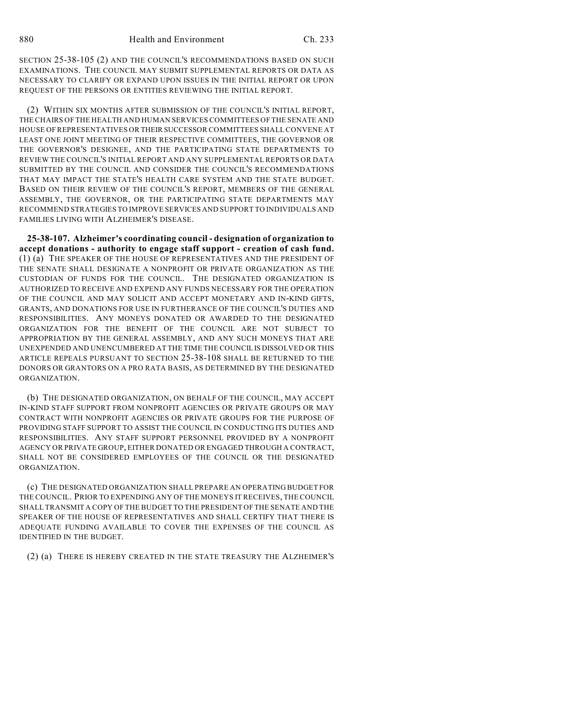SECTION 25-38-105 (2) AND THE COUNCIL'S RECOMMENDATIONS BASED ON SUCH EXAMINATIONS. THE COUNCIL MAY SUBMIT SUPPLEMENTAL REPORTS OR DATA AS NECESSARY TO CLARIFY OR EXPAND UPON ISSUES IN THE INITIAL REPORT OR UPON REQUEST OF THE PERSONS OR ENTITIES REVIEWING THE INITIAL REPORT.

(2) WITHIN SIX MONTHS AFTER SUBMISSION OF THE COUNCIL'S INITIAL REPORT, THE CHAIRS OF THE HEALTH AND HUMAN SERVICES COMMITTEES OF THE SENATE AND HOUSE OF REPRESENTATIVES OR THEIR SUCCESSOR COMMITTEES SHALL CONVENE AT LEAST ONE JOINT MEETING OF THEIR RESPECTIVE COMMITTEES, THE GOVERNOR OR THE GOVERNOR'S DESIGNEE, AND THE PARTICIPATING STATE DEPARTMENTS TO REVIEW THE COUNCIL'S INITIAL REPORT AND ANY SUPPLEMENTAL REPORTS OR DATA SUBMITTED BY THE COUNCIL AND CONSIDER THE COUNCIL'S RECOMMENDATIONS THAT MAY IMPACT THE STATE'S HEALTH CARE SYSTEM AND THE STATE BUDGET. BASED ON THEIR REVIEW OF THE COUNCIL'S REPORT, MEMBERS OF THE GENERAL ASSEMBLY, THE GOVERNOR, OR THE PARTICIPATING STATE DEPARTMENTS MAY RECOMMEND STRATEGIES TO IMPROVE SERVICES AND SUPPORT TO INDIVIDUALS AND FAMILIES LIVING WITH ALZHEIMER'S DISEASE.

**25-38-107. Alzheimer's coordinating council - designation of organization to accept donations - authority to engage staff support - creation of cash fund.** (1) (a) THE SPEAKER OF THE HOUSE OF REPRESENTATIVES AND THE PRESIDENT OF THE SENATE SHALL DESIGNATE A NONPROFIT OR PRIVATE ORGANIZATION AS THE CUSTODIAN OF FUNDS FOR THE COUNCIL. THE DESIGNATED ORGANIZATION IS AUTHORIZED TO RECEIVE AND EXPEND ANY FUNDS NECESSARY FOR THE OPERATION OF THE COUNCIL AND MAY SOLICIT AND ACCEPT MONETARY AND IN-KIND GIFTS, GRANTS, AND DONATIONS FOR USE IN FURTHERANCE OF THE COUNCIL'S DUTIES AND RESPONSIBILITIES. ANY MONEYS DONATED OR AWARDED TO THE DESIGNATED ORGANIZATION FOR THE BENEFIT OF THE COUNCIL ARE NOT SUBJECT TO APPROPRIATION BY THE GENERAL ASSEMBLY, AND ANY SUCH MONEYS THAT ARE UNEXPENDED AND UNENCUMBERED AT THE TIME THE COUNCIL IS DISSOLVED OR THIS ARTICLE REPEALS PURSUANT TO SECTION 25-38-108 SHALL BE RETURNED TO THE DONORS OR GRANTORS ON A PRO RATA BASIS, AS DETERMINED BY THE DESIGNATED ORGANIZATION.

(b) THE DESIGNATED ORGANIZATION, ON BEHALF OF THE COUNCIL, MAY ACCEPT IN-KIND STAFF SUPPORT FROM NONPROFIT AGENCIES OR PRIVATE GROUPS OR MAY CONTRACT WITH NONPROFIT AGENCIES OR PRIVATE GROUPS FOR THE PURPOSE OF PROVIDING STAFF SUPPORT TO ASSIST THE COUNCIL IN CONDUCTING ITS DUTIES AND RESPONSIBILITIES. ANY STAFF SUPPORT PERSONNEL PROVIDED BY A NONPROFIT AGENCY OR PRIVATE GROUP, EITHER DONATED OR ENGAGED THROUGH A CONTRACT, SHALL NOT BE CONSIDERED EMPLOYEES OF THE COUNCIL OR THE DESIGNATED ORGANIZATION.

(c) THE DESIGNATED ORGANIZATION SHALL PREPARE AN OPERATING BUDGET FOR THE COUNCIL. PRIOR TO EXPENDING ANY OF THE MONEYS IT RECEIVES, THE COUNCIL SHALL TRANSMIT A COPY OF THE BUDGET TO THE PRESIDENT OF THE SENATE AND THE SPEAKER OF THE HOUSE OF REPRESENTATIVES AND SHALL CERTIFY THAT THERE IS ADEQUATE FUNDING AVAILABLE TO COVER THE EXPENSES OF THE COUNCIL AS IDENTIFIED IN THE BUDGET.

(2) (a) THERE IS HEREBY CREATED IN THE STATE TREASURY THE ALZHEIMER'S